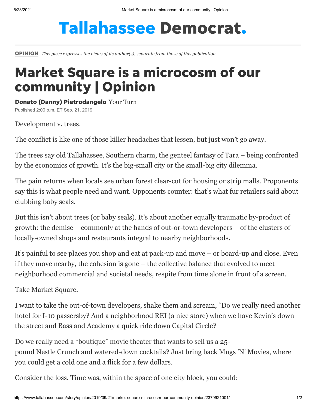## **Tallahassee Democrat.**

[OPINION](https://www.tallahassee.com/opinion/) *This piece expresses the views of its author(s), separate from those of this publication.*

## Market Square is a microcosm of our community | Opinion

Donato (Danny) Pietrodangelo Your Turn Published 2:00 p.m. ET Sep. 21, 2019

Development v. trees.

The conflict is like one of those killer headaches that lessen, but just won't go away.

The trees say old Tallahassee, Southern charm, the genteel fantasy of Tara – being confronted by the economics of growth. It's the big-small city or the small-big city dilemma.

The pain returns when locals see urban forest clear-cut for housing or strip malls. Proponents say this is what people need and want. Opponents counter: that's what fur retailers said about clubbing baby seals.

But this isn't about trees (or baby seals). It's about another equally traumatic by-product of growth: the demise – commonly at the hands of out-or-town developers – of the clusters of locally-owned shops and restaurants integral to nearby neighborhoods.

It's painful to see places you shop and eat at pack-up and move – or board-up and close. Even if they move nearby, the cohesion is gone – the collective balance that evolved to meet neighborhood commercial and societal needs, respite from time alone in front of a screen.

Take Market Square.

I want to take the out-of-town developers, shake them and scream, "Do we really need another hotel for I-10 passersby? And a neighborhood REI (a nice store) when we have Kevin's down the street and Bass and Academy a quick ride down Capital Circle?

Do we really need a "boutique" movie theater that wants to sell us a 25 pound Nestle Crunch and watered-down cocktails? Just bring back Mugs 'N' Movies, where you could get a cold one and a flick for a few dollars.

Consider the loss. Time was, within the space of one city block, you could: